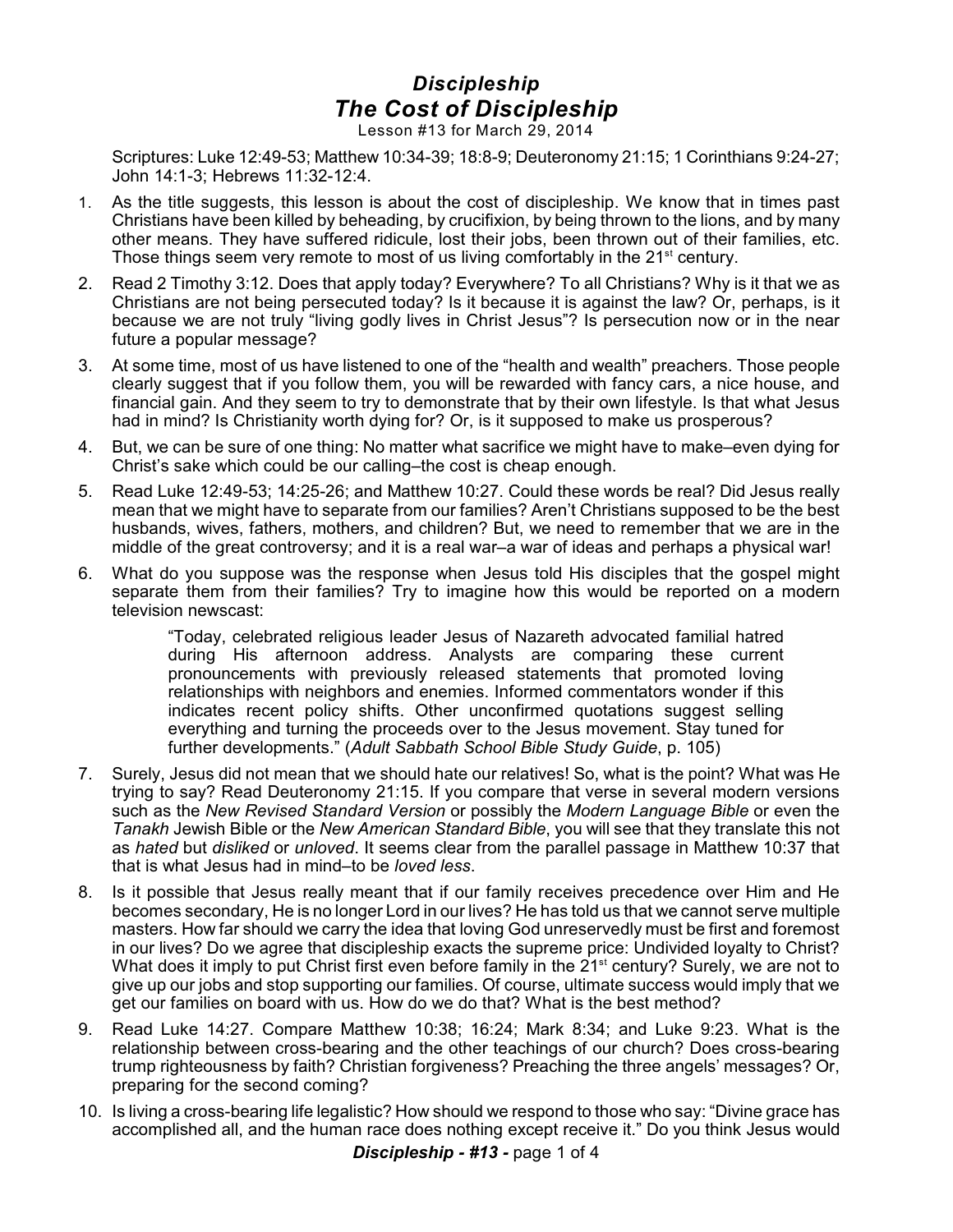## *Discipleship The Cost of Discipleship*

Lesson #13 for March 29, 2014

Scriptures: Luke 12:49-53; Matthew 10:34-39; 18:8-9; Deuteronomy 21:15; 1 Corinthians 9:24-27; John 14:1-3; Hebrews 11:32-12:4.

- 1. As the title suggests, this lesson is about the cost of discipleship. We know that in times past Christians have been killed by beheading, by crucifixion, by being thrown to the lions, and by many other means. They have suffered ridicule, lost their jobs, been thrown out of their families, etc. Those things seem very remote to most of us living comfortably in the  $21<sup>st</sup>$  century.
- 2. Read 2 Timothy 3:12. Does that apply today? Everywhere? To all Christians? Why is it that we as Christians are not being persecuted today? Is it because it is against the law? Or, perhaps, is it because we are not truly "living godly lives in Christ Jesus"? Is persecution now or in the near future a popular message?
- 3. At some time, most of us have listened to one of the "health and wealth" preachers. Those people clearly suggest that if you follow them, you will be rewarded with fancy cars, a nice house, and financial gain. And they seem to try to demonstrate that by their own lifestyle. Is that what Jesus had in mind? Is Christianity worth dying for? Or, is it supposed to make us prosperous?
- 4. But, we can be sure of one thing: No matter what sacrifice we might have to make–even dying for Christ's sake which could be our calling–the cost is cheap enough.
- 5. Read Luke 12:49-53; 14:25-26; and Matthew 10:27. Could these words be real? Did Jesus really mean that we might have to separate from our families? Aren't Christians supposed to be the best husbands, wives, fathers, mothers, and children? But, we need to remember that we are in the middle of the great controversy; and it is a real war–a war of ideas and perhaps a physical war!
- 6. What do you suppose was the response when Jesus told His disciples that the gospel might separate them from their families? Try to imagine how this would be reported on a modern television newscast:

"Today, celebrated religious leader Jesus of Nazareth advocated familial hatred during His afternoon address. Analysts are comparing these current pronouncements with previously released statements that promoted loving relationships with neighbors and enemies. Informed commentators wonder if this indicates recent policy shifts. Other unconfirmed quotations suggest selling everything and turning the proceeds over to the Jesus movement. Stay tuned for further developments." (*Adult Sabbath School Bible Study Guide*, p. 105)

- 7. Surely, Jesus did not mean that we should hate our relatives! So, what is the point? What was He trying to say? Read Deuteronomy 21:15. If you compare that verse in several modern versions such as the *New Revised Standard Version* or possibly the *Modern Language Bible* or even the *Tanakh* Jewish Bible or the *New American Standard Bible*, you will see that they translate this not as *hated* but *disliked* or *unloved*. It seems clear from the parallel passage in Matthew 10:37 that that is what Jesus had in mind–to be *loved less*.
- 8. Is it possible that Jesus really meant that if our family receives precedence over Him and He becomes secondary, He is no longer Lord in our lives? He has told us that we cannot serve multiple masters. How far should we carry the idea that loving God unreservedly must be first and foremost in our lives? Do we agree that discipleship exacts the supreme price: Undivided loyalty to Christ? What does it imply to put Christ first even before family in the 21<sup>st</sup> century? Surely, we are not to give up our jobs and stop supporting our families. Of course, ultimate success would imply that we get our families on board with us. How do we do that? What is the best method?
- 9. Read Luke 14:27. Compare Matthew 10:38; 16:24; Mark 8:34; and Luke 9:23. What is the relationship between cross-bearing and the other teachings of our church? Does cross-bearing trump righteousness by faith? Christian forgiveness? Preaching the three angels' messages? Or, preparing for the second coming?
- 10. Is living a cross-bearing life legalistic? How should we respond to those who say: "Divine grace has accomplished all, and the human race does nothing except receive it." Do you think Jesus would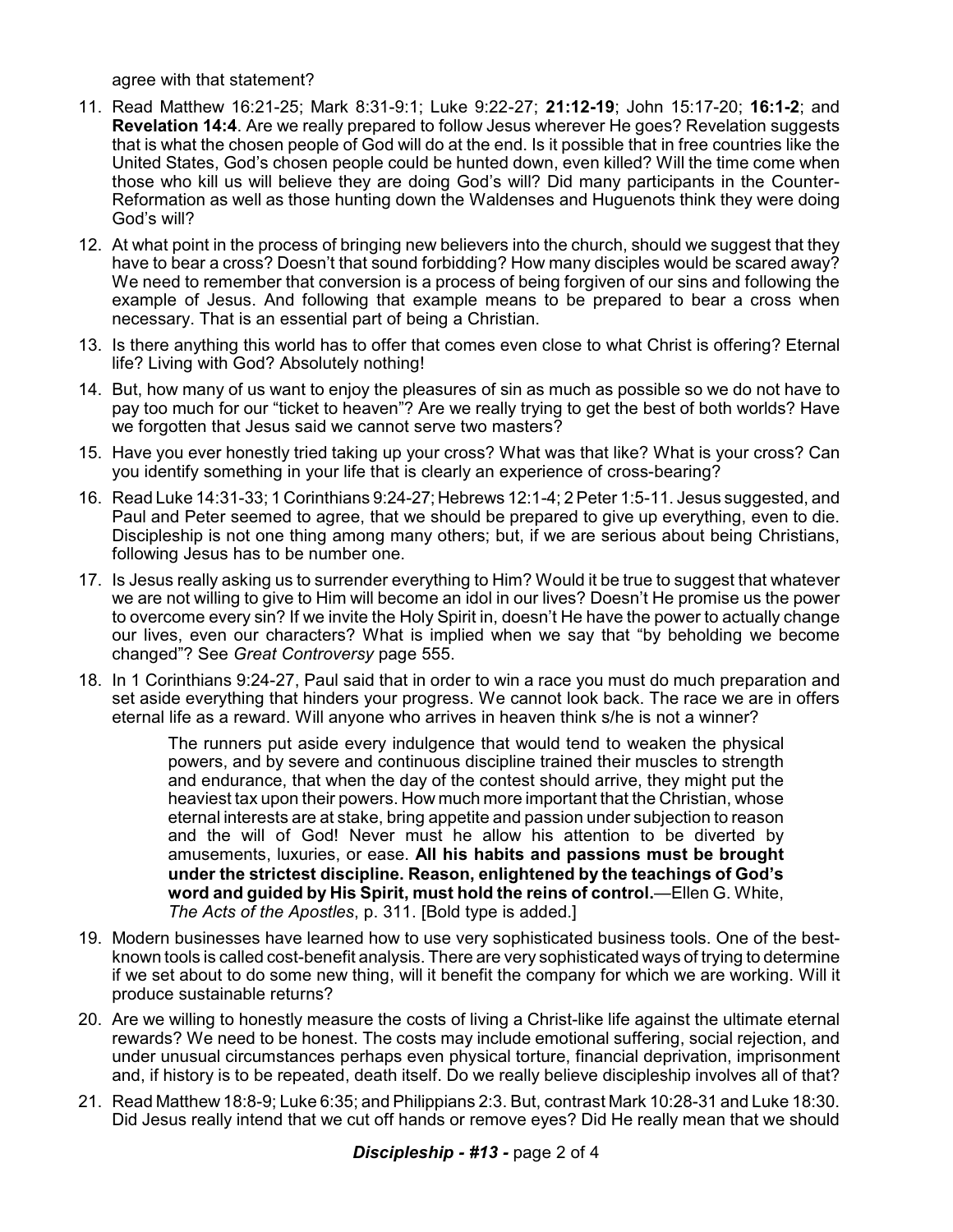agree with that statement?

- 11. Read Matthew 16:21-25; Mark 8:31-9:1; Luke 9:22-27; **21:12-19**; John 15:17-20; **16:1-2**; and **Revelation 14:4**. Are we really prepared to follow Jesus wherever He goes? Revelation suggests that is what the chosen people of God will do at the end. Is it possible that in free countries like the United States, God's chosen people could be hunted down, even killed? Will the time come when those who kill us will believe they are doing God's will? Did many participants in the Counter-Reformation as well as those hunting down the Waldenses and Huguenots think they were doing God's will?
- 12. At what point in the process of bringing new believers into the church, should we suggest that they have to bear a cross? Doesn't that sound forbidding? How many disciples would be scared away? We need to remember that conversion is a process of being forgiven of our sins and following the example of Jesus. And following that example means to be prepared to bear a cross when necessary. That is an essential part of being a Christian.
- 13. Is there anything this world has to offer that comes even close to what Christ is offering? Eternal life? Living with God? Absolutely nothing!
- 14. But, how many of us want to enjoy the pleasures of sin as much as possible so we do not have to pay too much for our "ticket to heaven"? Are we really trying to get the best of both worlds? Have we forgotten that Jesus said we cannot serve two masters?
- 15. Have you ever honestly tried taking up your cross? What was that like? What is your cross? Can you identify something in your life that is clearly an experience of cross-bearing?
- 16. Read Luke 14:31-33; 1 Corinthians 9:24-27; Hebrews 12:1-4; 2 Peter 1:5-11. Jesus suggested, and Paul and Peter seemed to agree, that we should be prepared to give up everything, even to die. Discipleship is not one thing among many others; but, if we are serious about being Christians, following Jesus has to be number one.
- 17. Is Jesus really asking us to surrender everything to Him? Would it be true to suggest that whatever we are not willing to give to Him will become an idol in our lives? Doesn't He promise us the power to overcome every sin? If we invite the Holy Spirit in, doesn't He have the power to actually change our lives, even our characters? What is implied when we say that "by beholding we become changed"? See *Great Controversy* page 555.
- 18. In 1 Corinthians 9:24-27, Paul said that in order to win a race you must do much preparation and set aside everything that hinders your progress. We cannot look back. The race we are in offers eternal life as a reward. Will anyone who arrives in heaven think s/he is not a winner?

The runners put aside every indulgence that would tend to weaken the physical powers, and by severe and continuous discipline trained their muscles to strength and endurance, that when the day of the contest should arrive, they might put the heaviest tax upon their powers. How much more important that the Christian, whose eternal interests are at stake, bring appetite and passion under subjection to reason and the will of God! Never must he allow his attention to be diverted by amusements, luxuries, or ease. **All his habits and passions must be brought under the strictest discipline. Reason, enlightened by the teachings of God's word and guided by His Spirit, must hold the reins of control.**—Ellen G. White, *The Acts of the Apostles*, p. 311. [Bold type is added.]

- 19. Modern businesses have learned how to use very sophisticated business tools. One of the bestknown tools is called cost-benefit analysis. There are very sophisticated ways of trying to determine if we set about to do some new thing, will it benefit the company for which we are working. Will it produce sustainable returns?
- 20. Are we willing to honestly measure the costs of living a Christ-like life against the ultimate eternal rewards? We need to be honest. The costs may include emotional suffering, social rejection, and under unusual circumstances perhaps even physical torture, financial deprivation, imprisonment and, if history is to be repeated, death itself. Do we really believe discipleship involves all of that?
- 21. Read Matthew 18:8-9; Luke 6:35; and Philippians 2:3. But, contrast Mark 10:28-31 and Luke 18:30. Did Jesus really intend that we cut off hands or remove eyes? Did He really mean that we should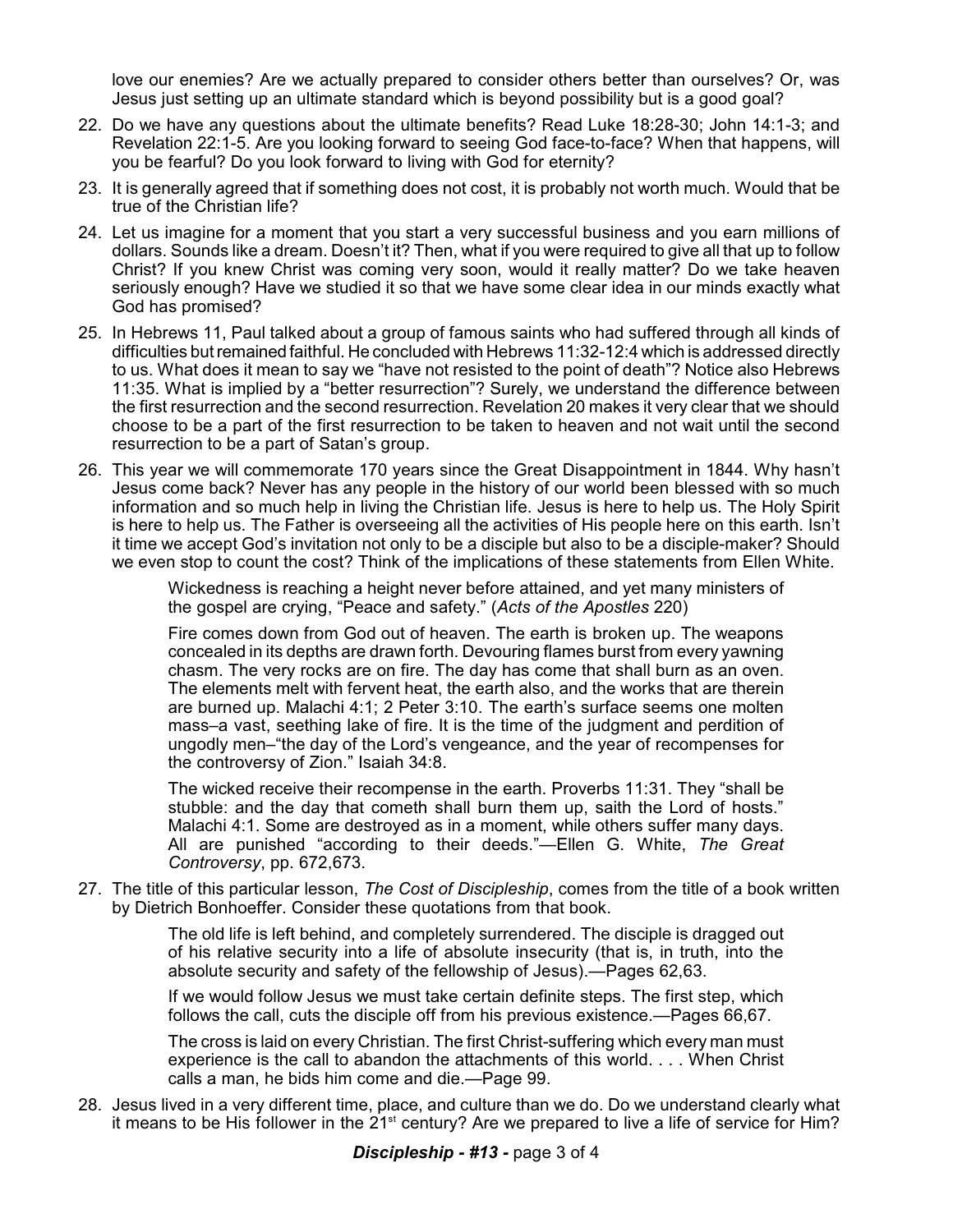love our enemies? Are we actually prepared to consider others better than ourselves? Or, was Jesus just setting up an ultimate standard which is beyond possibility but is a good goal?

- 22. Do we have any questions about the ultimate benefits? Read Luke 18:28-30; John 14:1-3; and Revelation 22:1-5. Are you looking forward to seeing God face-to-face? When that happens, will you be fearful? Do you look forward to living with God for eternity?
- 23. It is generally agreed that if something does not cost, it is probably not worth much. Would that be true of the Christian life?
- 24. Let us imagine for a moment that you start a very successful business and you earn millions of dollars. Sounds like a dream. Doesn't it? Then, what if you were required to give all that up to follow Christ? If you knew Christ was coming very soon, would it really matter? Do we take heaven seriously enough? Have we studied it so that we have some clear idea in our minds exactly what God has promised?
- 25. In Hebrews 11, Paul talked about a group of famous saints who had suffered through all kinds of difficulties but remained faithful. He concluded with Hebrews 11:32-12:4 which is addressed directly to us. What does it mean to say we "have not resisted to the point of death"? Notice also Hebrews 11:35. What is implied by a "better resurrection"? Surely, we understand the difference between the first resurrection and the second resurrection. Revelation 20 makes it very clear that we should choose to be a part of the first resurrection to be taken to heaven and not wait until the second resurrection to be a part of Satan's group.
- 26. This year we will commemorate 170 years since the Great Disappointment in 1844. Why hasn't Jesus come back? Never has any people in the history of our world been blessed with so much information and so much help in living the Christian life. Jesus is here to help us. The Holy Spirit is here to help us. The Father is overseeing all the activities of His people here on this earth. Isn't it time we accept God's invitation not only to be a disciple but also to be a disciple-maker? Should we even stop to count the cost? Think of the implications of these statements from Ellen White.

Wickedness is reaching a height never before attained, and yet many ministers of the gospel are crying, "Peace and safety." (*Acts of the Apostles* 220)

Fire comes down from God out of heaven. The earth is broken up. The weapons concealed in its depths are drawn forth. Devouring flames burst from every yawning chasm. The very rocks are on fire. The day has come that shall burn as an oven. The elements melt with fervent heat, the earth also, and the works that are therein are burned up. Malachi 4:1; 2 Peter 3:10. The earth's surface seems one molten mass–a vast, seething lake of fire. It is the time of the judgment and perdition of ungodly men–"the day of the Lord's vengeance, and the year of recompenses for the controversy of Zion." Isaiah 34:8.

The wicked receive their recompense in the earth. Proverbs 11:31. They "shall be stubble: and the day that cometh shall burn them up, saith the Lord of hosts." Malachi 4:1. Some are destroyed as in a moment, while others suffer many days. All are punished "according to their deeds."—Ellen G. White, *The Great Controversy*, pp. 672,673.

27. The title of this particular lesson, *The Cost of Discipleship*, comes from the title of a book written by Dietrich Bonhoeffer. Consider these quotations from that book.

> The old life is left behind, and completely surrendered. The disciple is dragged out of his relative security into a life of absolute insecurity (that is, in truth, into the absolute security and safety of the fellowship of Jesus).—Pages 62,63.

> If we would follow Jesus we must take certain definite steps. The first step, which follows the call, cuts the disciple off from his previous existence.—Pages 66,67.

> The cross is laid on every Christian. The first Christ-suffering which every man must experience is the call to abandon the attachments of this world. . . . When Christ calls a man, he bids him come and die.—Page 99.

28. Jesus lived in a very different time, place, and culture than we do. Do we understand clearly what it means to be His follower in the  $21<sup>st</sup>$  century? Are we prepared to live a life of service for Him?